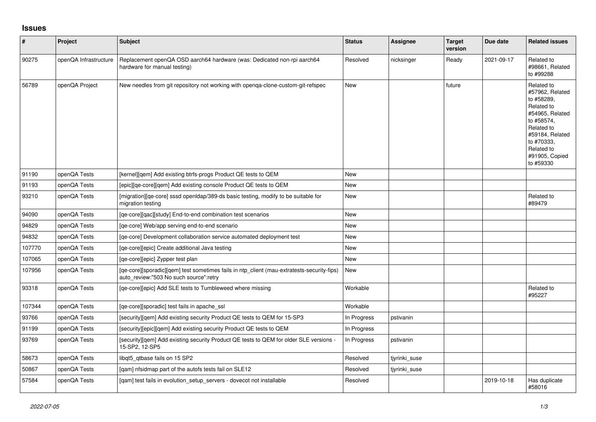## **Issues**

| $\vert$ # | Project               | <b>Subject</b>                                                                                                                       | <b>Status</b> | Assignee      | <b>Target</b><br>version | Due date   | <b>Related issues</b>                                                                                                                                                                  |
|-----------|-----------------------|--------------------------------------------------------------------------------------------------------------------------------------|---------------|---------------|--------------------------|------------|----------------------------------------------------------------------------------------------------------------------------------------------------------------------------------------|
| 90275     | openQA Infrastructure | Replacement openQA OSD aarch64 hardware (was: Dedicated non-rpi aarch64<br>hardware for manual testing)                              | Resolved      | nicksinger    | Ready                    | 2021-09-17 | Related to<br>#98661, Related<br>to #99288                                                                                                                                             |
| 56789     | openQA Project        | New needles from git repository not working with openga-clone-custom-git-refspec                                                     | New           |               | future                   |            | Related to<br>#57962, Related<br>to #58289,<br>Related to<br>#54965, Related<br>to #58574,<br>Related to<br>#59184, Related<br>to #70333,<br>Related to<br>#91905, Copied<br>to #59330 |
| 91190     | openQA Tests          | [kernel][gem] Add existing btrfs-progs Product QE tests to QEM                                                                       | <b>New</b>    |               |                          |            |                                                                                                                                                                                        |
| 91193     | openQA Tests          | [epic][qe-core][qem] Add existing console Product QE tests to QEM                                                                    | <b>New</b>    |               |                          |            |                                                                                                                                                                                        |
| 93210     | openQA Tests          | [migration][ge-core] sssd open dap/389-ds basic testing, modify to be suitable for<br>migration testing                              | <b>New</b>    |               |                          |            | Related to<br>#89479                                                                                                                                                                   |
| 94090     | openQA Tests          | [ge-core][gac][study] End-to-end combination test scenarios                                                                          | <b>New</b>    |               |                          |            |                                                                                                                                                                                        |
| 94829     | openQA Tests          | [ge-core] Web/app serving end-to-end scenario                                                                                        | <b>New</b>    |               |                          |            |                                                                                                                                                                                        |
| 94832     | openQA Tests          | [ge-core] Development collaboration service automated deployment test                                                                | New           |               |                          |            |                                                                                                                                                                                        |
| 107770    | openQA Tests          | [ge-core][epic] Create additional Java testing                                                                                       | <b>New</b>    |               |                          |            |                                                                                                                                                                                        |
| 107065    | openQA Tests          | [qe-core][epic] Zypper test plan                                                                                                     | <b>New</b>    |               |                          |            |                                                                                                                                                                                        |
| 107956    | openQA Tests          | [qe-core][sporadic][qem] test sometimes fails in ntp_client (mau-extratests-security-fips)<br>auto review:"503 No such source":retry | New           |               |                          |            |                                                                                                                                                                                        |
| 93318     | openQA Tests          | [qe-core][epic] Add SLE tests to Tumbleweed where missing                                                                            | Workable      |               |                          |            | Related to<br>#95227                                                                                                                                                                   |
| 107344    | openQA Tests          | [ge-core][sporadic] test fails in apache ssl                                                                                         | Workable      |               |                          |            |                                                                                                                                                                                        |
| 93766     | openQA Tests          | [security][gem] Add existing security Product QE tests to QEM for 15-SP3                                                             | In Progress   | pstivanin     |                          |            |                                                                                                                                                                                        |
| 91199     | openQA Tests          | [security][epic][qem] Add existing security Product QE tests to QEM                                                                  | In Progress   |               |                          |            |                                                                                                                                                                                        |
| 93769     | openQA Tests          | [security][qem] Add existing security Product QE tests to QEM for older SLE versions -<br>15-SP2, 12-SP5                             | In Progress   | pstivanin     |                          |            |                                                                                                                                                                                        |
| 58673     | openQA Tests          | libgt5 gtbase fails on 15 SP2                                                                                                        | Resolved      | tiyrinki suse |                          |            |                                                                                                                                                                                        |
| 50867     | openQA Tests          | [qam] nfsidmap part of the autofs tests fail on SLE12                                                                                | Resolved      | tiyrinki suse |                          |            |                                                                                                                                                                                        |
| 57584     | openQA Tests          | [gam] test fails in evolution setup servers - dovecot not installable                                                                | Resolved      |               |                          | 2019-10-18 | Has duplicate<br>#58016                                                                                                                                                                |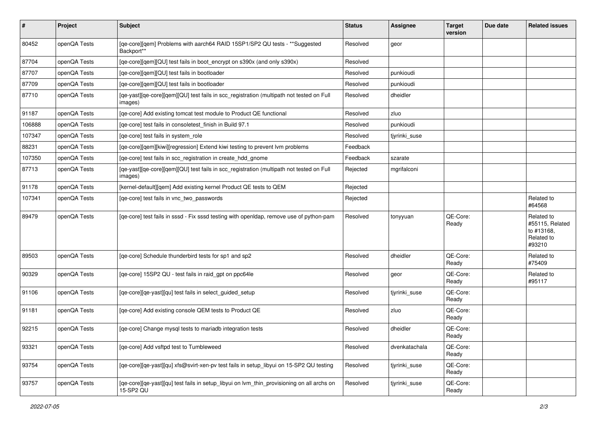| $\sharp$ | Project      | <b>Subject</b>                                                                                          | <b>Status</b> | Assignee      | <b>Target</b><br>version | Due date | <b>Related issues</b>                                               |
|----------|--------------|---------------------------------------------------------------------------------------------------------|---------------|---------------|--------------------------|----------|---------------------------------------------------------------------|
| 80452    | openQA Tests | [qe-core][qem] Problems with aarch64 RAID 15SP1/SP2 QU tests - ** Suggested<br>Backport**               | Resolved      | geor          |                          |          |                                                                     |
| 87704    | openQA Tests | [qe-core][qem][QU] test fails in boot encrypt on s390x (and only s390x)                                 | Resolved      |               |                          |          |                                                                     |
| 87707    | openQA Tests | [qe-core][qem][QU] test fails in bootloader                                                             | Resolved      | punkioudi     |                          |          |                                                                     |
| 87709    | openQA Tests | [qe-core][qem][QU] test fails in bootloader                                                             | Resolved      | punkioudi     |                          |          |                                                                     |
| 87710    | openQA Tests | [qe-yast][qe-core][qem][QU] test fails in scc_registration (multipath not tested on Full<br>images)     | Resolved      | dheidler      |                          |          |                                                                     |
| 91187    | openQA Tests | [qe-core] Add existing tomcat test module to Product QE functional                                      | Resolved      | zluo          |                          |          |                                                                     |
| 106888   | openQA Tests | [qe-core] test fails in consoletest_finish in Build 97.1                                                | Resolved      | punkioudi     |                          |          |                                                                     |
| 107347   | openQA Tests | [qe-core] test fails in system_role                                                                     | Resolved      | tjyrinki_suse |                          |          |                                                                     |
| 88231    | openQA Tests | [qe-core][qem][kiwi][regression] Extend kiwi testing to prevent lvm problems                            | Feedback      |               |                          |          |                                                                     |
| 107350   | openQA Tests | [qe-core] test fails in scc_registration in create_hdd_gnome                                            | Feedback      | szarate       |                          |          |                                                                     |
| 87713    | openQA Tests | [qe-yast][qe-core][qem][QU] test fails in scc_registration (multipath not tested on Full<br>images)     | Rejected      | mgrifalconi   |                          |          |                                                                     |
| 91178    | openQA Tests | [kernel-default][qem] Add existing kernel Product QE tests to QEM                                       | Rejected      |               |                          |          |                                                                     |
| 107341   | openQA Tests | [qe-core] test fails in vnc_two_passwords                                                               | Rejected      |               |                          |          | Related to<br>#64568                                                |
| 89479    | openQA Tests | [qe-core] test fails in sssd - Fix sssd testing with openIdap, remove use of python-pam                 | Resolved      | tonyyuan      | QE-Core:<br>Ready        |          | Related to<br>#55115, Related<br>to #13168,<br>Related to<br>#93210 |
| 89503    | openQA Tests | [qe-core] Schedule thunderbird tests for sp1 and sp2                                                    | Resolved      | dheidler      | QE-Core:<br>Ready        |          | Related to<br>#75409                                                |
| 90329    | openQA Tests | [qe-core] 15SP2 QU - test fails in raid_gpt on ppc64le                                                  | Resolved      | geor          | QE-Core:<br>Ready        |          | Related to<br>#95117                                                |
| 91106    | openQA Tests | [qe-core][qe-yast][qu] test fails in select_guided_setup                                                | Resolved      | tjyrinki_suse | QE-Core:<br>Ready        |          |                                                                     |
| 91181    | openQA Tests | [qe-core] Add existing console QEM tests to Product QE                                                  | Resolved      | zluo          | QE-Core:<br>Ready        |          |                                                                     |
| 92215    | openQA Tests | [qe-core] Change mysql tests to mariadb integration tests                                               | Resolved      | dheidler      | QE-Core:<br>Ready        |          |                                                                     |
| 93321    | openQA Tests | [qe-core] Add vsftpd test to Tumbleweed                                                                 | Resolved      | dvenkatachala | QE-Core:<br>Ready        |          |                                                                     |
| 93754    | openQA Tests | [qe-core][qe-yast][qu] xfs@svirt-xen-pv test fails in setup_libyui on 15-SP2 QU testing                 | Resolved      | tjyrinki_suse | QE-Core:<br>Ready        |          |                                                                     |
| 93757    | openQA Tests | [qe-core][qe-yast][qu] test fails in setup_libyui on lvm_thin_provisioning on all archs on<br>15-SP2 QU | Resolved      | tjyrinki_suse | QE-Core:<br>Ready        |          |                                                                     |